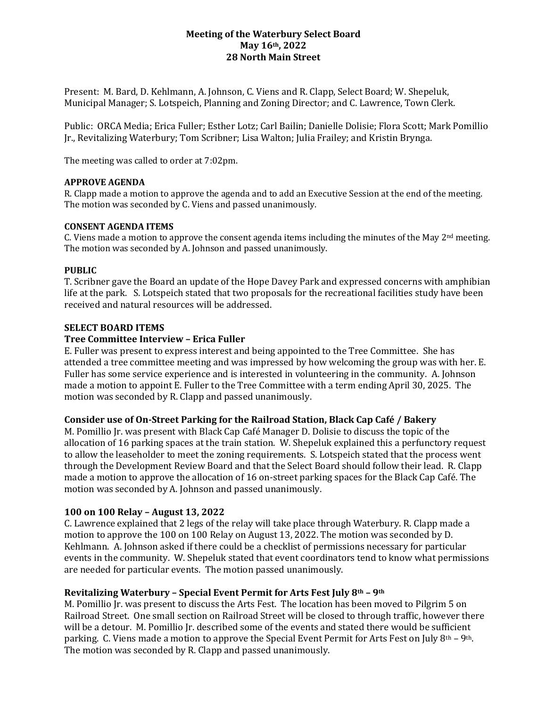# **Meeting of the Waterbury Select Board May 16th, 2022 28 North Main Street**

Present: M. Bard, D. Kehlmann, A. Johnson, C. Viens and R. Clapp, Select Board; W. Shepeluk, Municipal Manager; S. Lotspeich, Planning and Zoning Director; and C. Lawrence, Town Clerk.

Public: ORCA Media; Erica Fuller; Esther Lotz; Carl Bailin; Danielle Dolisie; Flora Scott; Mark Pomillio Jr., Revitalizing Waterbury; Tom Scribner; Lisa Walton; Julia Frailey; and Kristin Brynga.

The meeting was called to order at 7:02pm.

## **APPROVE AGENDA**

R. Clapp made a motion to approve the agenda and to add an Executive Session at the end of the meeting. The motion was seconded by C. Viens and passed unanimously.

#### **CONSENT AGENDA ITEMS**

C. Viens made a motion to approve the consent agenda items including the minutes of the May  $2<sup>nd</sup>$  meeting. The motion was seconded by A. Johnson and passed unanimously.

#### **PUBLIC**

T. Scribner gave the Board an update of the Hope Davey Park and expressed concerns with amphibian life at the park. S. Lotspeich stated that two proposals for the recreational facilities study have been received and natural resources will be addressed.

#### **SELECT BOARD ITEMS**

#### **Tree Committee Interview – Erica Fuller**

E. Fuller was present to express interest and being appointed to the Tree Committee. She has attended a tree committee meeting and was impressed by how welcoming the group was with her. E. Fuller has some service experience and is interested in volunteering in the community. A. Johnson made a motion to appoint E. Fuller to the Tree Committee with a term ending April 30, 2025. The motion was seconded by R. Clapp and passed unanimously.

## **Consider use of On-Street Parking for the Railroad Station, Black Cap Café / Bakery**

M. Pomillio Jr. was present with Black Cap Café Manager D. Dolisie to discuss the topic of the allocation of 16 parking spaces at the train station. W. Shepeluk explained this a perfunctory request to allow the leaseholder to meet the zoning requirements. S. Lotspeich stated that the process went through the Development Review Board and that the Select Board should follow their lead. R. Clapp made a motion to approve the allocation of 16 on-street parking spaces for the Black Cap Café. The motion was seconded by A. Johnson and passed unanimously.

## **100 on 100 Relay – August 13, 2022**

C. Lawrence explained that 2 legs of the relay will take place through Waterbury. R. Clapp made a motion to approve the 100 on 100 Relay on August 13, 2022. The motion was seconded by D. Kehlmann. A. Johnson asked if there could be a checklist of permissions necessary for particular events in the community. W. Shepeluk stated that event coordinators tend to know what permissions are needed for particular events. The motion passed unanimously.

## **Revitalizing Waterbury – Special Event Permit for Arts Fest July 8th – 9th**

M. Pomillio Jr. was present to discuss the Arts Fest. The location has been moved to Pilgrim 5 on Railroad Street. One small section on Railroad Street will be closed to through traffic, however there will be a detour. M. Pomillio Jr. described some of the events and stated there would be sufficient parking. C. Viens made a motion to approve the Special Event Permit for Arts Fest on July 8<sup>th</sup> – 9<sup>th</sup>. The motion was seconded by R. Clapp and passed unanimously.